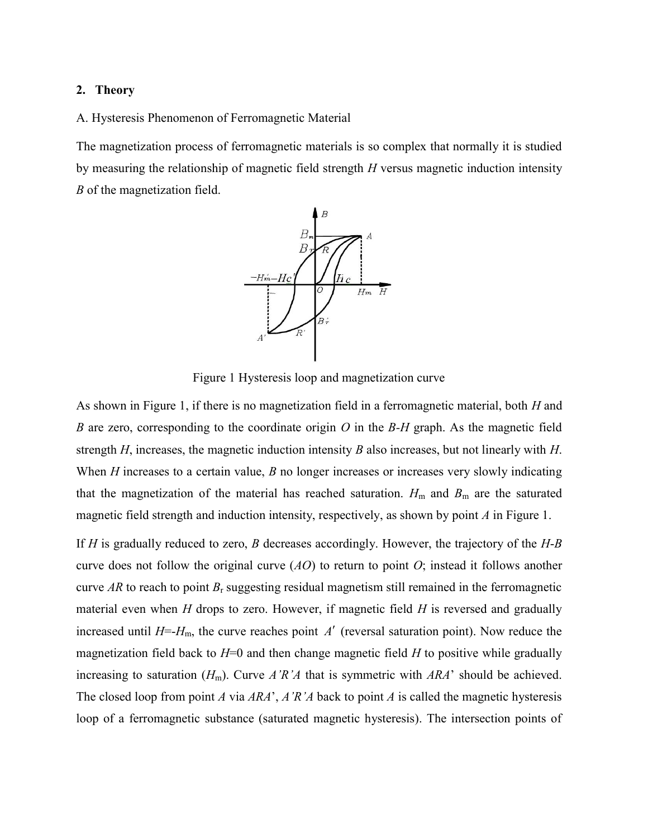## 2. Theory

A. Hysteresis Phenomenon of Ferromagnetic Material

The magnetization process of ferromagnetic materials is so complex that normally it is studied by measuring the relationship of magnetic field strength  $H$  versus magnetic induction intensity B of the magnetization field.



Figure 1 Hysteresis loop and magnetization curve

As shown in Figure 1, if there is no magnetization field in a ferromagnetic material, both  $H$  and B are zero, corresponding to the coordinate origin  $O$  in the B-H graph. As the magnetic field strength H, increases, the magnetic induction intensity B also increases, but not linearly with H. When  $H$  increases to a certain value,  $B$  no longer increases or increases very slowly indicating that the magnetization of the material has reached saturation.  $H_m$  and  $B_m$  are the saturated magnetic field strength and induction intensity, respectively, as shown by point  $\Lambda$  in Figure 1.

If  $H$  is gradually reduced to zero,  $B$  decreases accordingly. However, the trajectory of the  $H$ - $B$ curve does not follow the original curve  $(AO)$  to return to point O; instead it follows another curve AR to reach to point  $B_r$  suggesting residual magnetism still remained in the ferromagnetic material even when  $H$  drops to zero. However, if magnetic field  $H$  is reversed and gradually increased until  $H=-H_m$ , the curve reaches point A' (reversal saturation point). Now reduce the magnetization field back to  $H=0$  and then change magnetic field H to positive while gradually increasing to saturation  $(H_m)$ . Curve A'R'A that is symmetric with ARA' should be achieved. The closed loop from point A via  $ARA'$ , A'R'A back to point A is called the magnetic hysteresis loop of a ferromagnetic substance (saturated magnetic hysteresis). The intersection points of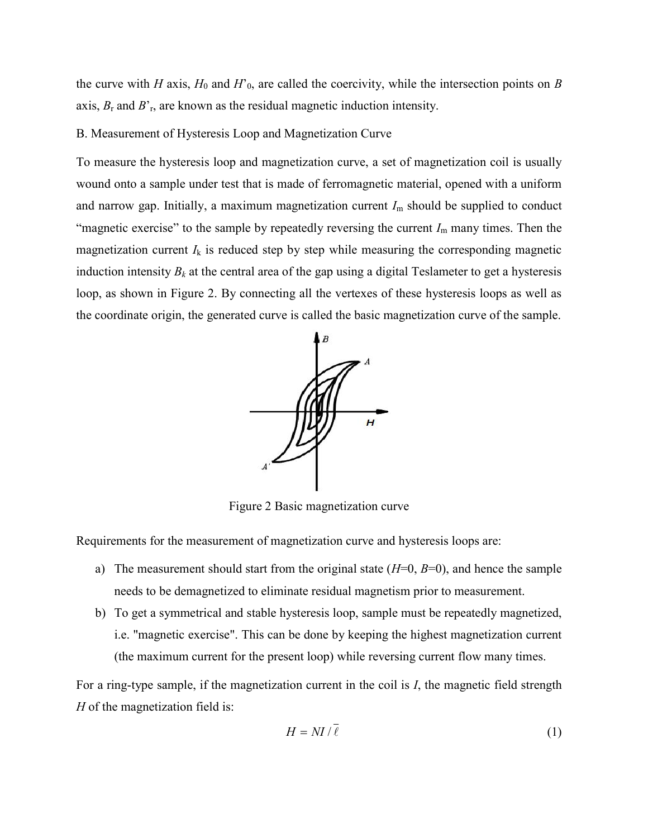the curve with H axis,  $H_0$  and  $H_0$ , are called the coercivity, while the intersection points on B axis,  $B_r$  and  $B^r$ , are known as the residual magnetic induction intensity.

## B. Measurement of Hysteresis Loop and Magnetization Curve

To measure the hysteresis loop and magnetization curve, a set of magnetization coil is usually wound onto a sample under test that is made of ferromagnetic material, opened with a uniform and narrow gap. Initially, a maximum magnetization current  $I<sub>m</sub>$  should be supplied to conduct "magnetic exercise" to the sample by repeatedly reversing the current  $I_m$  many times. Then the magnetization current  $I_k$  is reduced step by step while measuring the corresponding magnetic induction intensity  $B_k$  at the central area of the gap using a digital Teslameter to get a hysteresis loop, as shown in Figure 2. By connecting all the vertexes of these hysteresis loops as well as the coordinate origin, the generated curve is called the basic magnetization curve of the sample.



Figure 2 Basic magnetization curve

Requirements for the measurement of magnetization curve and hysteresis loops are:

- a) The measurement should start from the original state  $(H=0, B=0)$ , and hence the sample needs to be demagnetized to eliminate residual magnetism prior to measurement.
- b) To get a symmetrical and stable hysteresis loop, sample must be repeatedly magnetized, i.e. "magnetic exercise". This can be done by keeping the highest magnetization current (the maximum current for the present loop) while reversing current flow many times.

For a ring-type sample, if the magnetization current in the coil is I, the magnetic field strength  $H$  of the magnetization field is:

$$
H = NI / \ell \tag{1}
$$